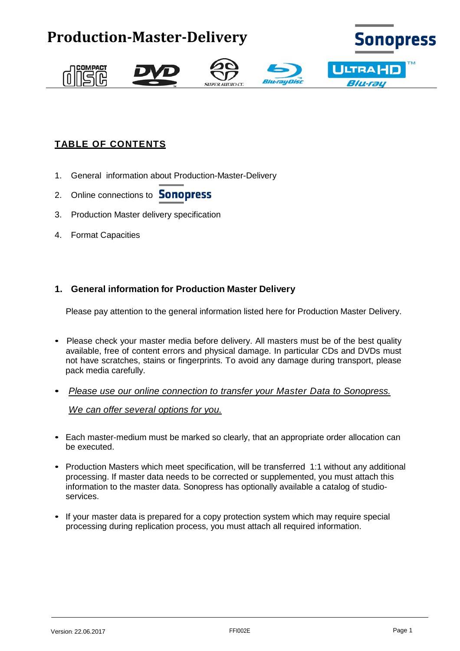

# **TABLE OF CONTENTS**

- 1. General information about Production-Master-Delivery
- 2. Online connections to **Sonopress**
- 3. Production Master delivery specification
- 4. Format Capacities

## **1. General information for Production Master Delivery**

Please pay attention to the general information listed here for Production Master Delivery.

- Please check your master media before delivery. All masters must be of the best quality available, free of content errors and physical damage. In particular CDs and DVDs must not have scratches, stains or fingerprints. To avoid any damage during transport, please pack media carefully.
- *Please use our online connection to transfer your Master Data to Sonopress. We can offer several options for you.*
- Each master-medium must be marked so clearly, that an appropriate order allocation can be executed.
- Production Masters which meet specification, will be transferred 1:1 without any additional processing. If master data needs to be corrected or supplemented, you must attach this information to the master data. Sonopress has optionally available a catalog of studioservices.
- If your master data is prepared for a copy protection system which may require special processing during replication process, you must attach all required information.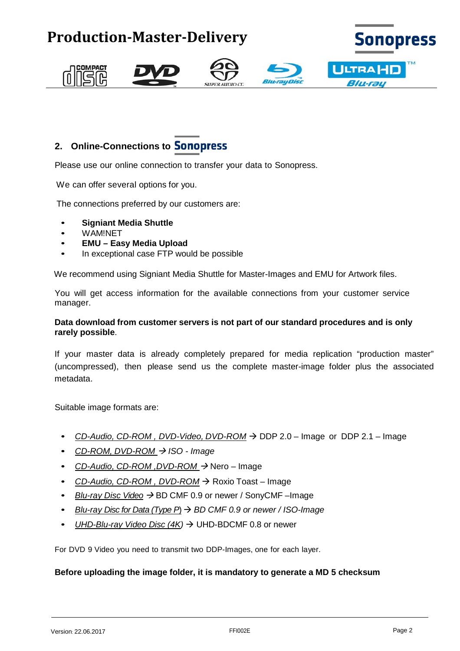

# **2. Online-Connections to**

Please use our online connection to transfer your data to Sonopress.

We can offer several options for you.

The connections preferred by our customers are:

- **Signiant Media Shuttle**
- WAM!NET
- **EMU – Easy Media Upload**
- In exceptional case FTP would be possible

We recommend using Signiant Media Shuttle for Master-Images and EMU for Artwork files.

You will get access information for the available connections from your customer service manager.

#### **Data download from customer servers is not part of our standard procedures and is only rarely possible**.

If your master data is already completely prepared for media replication "production master" (uncompressed), then please send us the complete master-image folder plus the associated metadata.

Suitable image formats are:

- *CD-Audio, CD-ROM , DVD-Video, DVD-ROM* DDP 2.0 Image or DDP 2.1 Image
- *CD-ROM, DVD-ROM ISO - Image*
- *CD-Audio, CD-ROM ,DVD-ROM*  Nero Image
- *CD-Audio, CD-ROM , DVD-ROM* Roxio Toast Image
- *Blu-ray Disc Video* BD CMF 0.9 or newer / SonyCMF –Image
- *Blu-ray Disc for Data (Type P*) *BD CMF 0.9 or newer / ISO-Image*
- *UHD-Blu-ray Video Disc (4K)* UHD-BDCMF 0.8 or newer

For DVD 9 Video you need to transmit two DDP-Images, one for each layer.

#### **Before uploading the image folder, it is mandatory to generate a MD 5 checksum**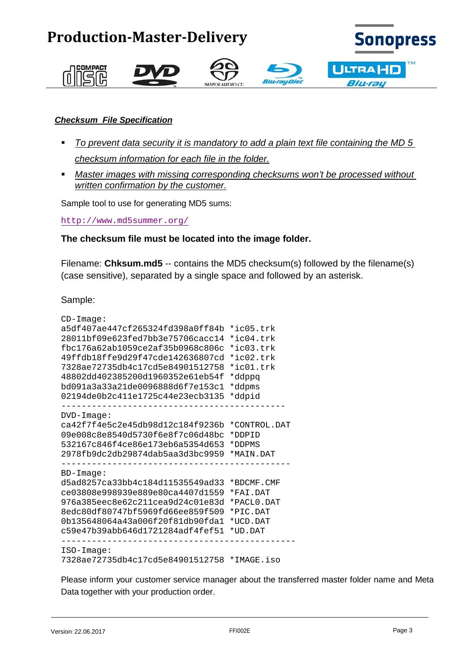

### *Checksum File Specification*

- *To prevent data security it is mandatory to add a plain text file containing the MD 5 checksum information for each file in the folder.*
- *Master images with missing corresponding checksums won't be processed without written confirmation by the customer.*

Sample tool to use for generating MD5 sums:

<http://www.md5summer.org/>

#### **The checksum file must be located into the image folder.**

Filename: **Chksum.md5** -- contains the MD5 checksum(s) followed by the filename(s) (case sensitive), separated by a single space and followed by an asterisk.

Sample:

```
CD-Image:
a5df407ae447cf265324fd398a0ff84b *ic05.trk
28011bf09e623fed7bb3e75706cacc14 *ic04.trk
fbc176a62ab1059ce2af35b0968c806c *ic03.trk
49ffdb18ffe9d29f47cde142636807cd *ic02.trk
7328ae72735db4c17cd5e84901512758 *ic01.trk
48802dd402385200d1960352e61eb54f *ddppq
bd091a3a33a21de0096888d6f7e153c1 *ddpms
02194de0b2c411e1725c44e23ecb3135 *ddpid
--------------------------------------------
DVD-Image:
ca42f7f4e5c2e45db98d12c184f9236b *CONTROL.DAT
09e008c8e8540d5730f6e8f7c06d48bc *DDPID
532167c846f4ce86e173eb6a5354d653 *DDPMS
2978fb9dc2db29874dab5aa3d3bc9959 *MAIN.DAT
---------------------------------------------
BD-Image:
d5ad8257ca33bb4c184d11535549ad33 *BDCMF.CMF
ce03808e998939e889e80ca4407d1559 *FAI.DAT
976a385eec8e62c211cea9d24c01e83d *PACL0.DAT
8edc80df80747bf5969fd66ee859f509 *PIC.DAT
0b135648064a43a006f20f81db90fda1 *UCD.DAT
c59e47b39abb646d1721284adf4fef51 *UD.DAT
----------------------------------------------
ISO-Image:
7328ae72735db4c17cd5e84901512758 *IMAGE.iso
```
Please inform your customer service manager about the transferred master folder name and Meta Data together with your production order.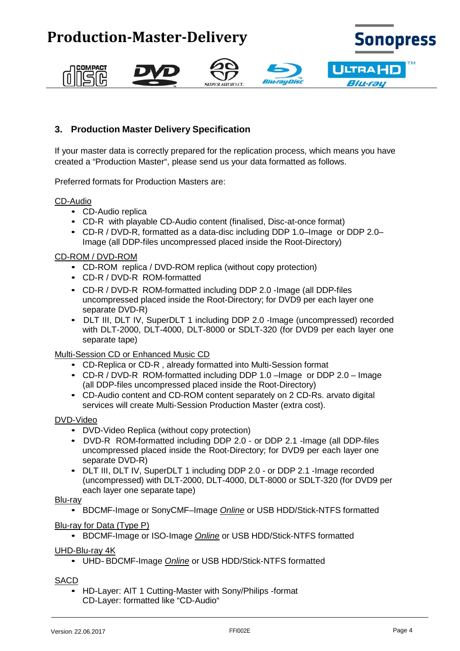

## **3. Production Master Delivery Specification**

If your master data is correctly prepared for the replication process, which means you have created a "Production Master", please send us your data formatted as follows.

Preferred formats for Production Masters are:

#### CD-Audio

- CD-Audio replica
- CD-R with playable CD-Audio content (finalised, Disc-at-once format)
- CD-R / DVD-R, formatted as a data-disc including DDP 1.0–Image or DDP 2.0– Image (all DDP-files uncompressed placed inside the Root-Directory)

#### CD-ROM / DVD-ROM

- CD-ROM replica / DVD-ROM replica (without copy protection)
- CD-R / DVD-R ROM-formatted
- CD-R / DVD-R ROM-formatted including DDP 2.0 -Image (all DDP-files uncompressed placed inside the Root-Directory; for DVD9 per each layer one separate DVD-R)
- DLT III, DLT IV, SuperDLT 1 including DDP 2.0 -Image (uncompressed) recorded with DLT-2000, DLT-4000, DLT-8000 or SDLT-320 (for DVD9 per each layer one separate tape)

Multi-Session CD or Enhanced Music CD

- CD-Replica or CD-R , already formatted into Multi-Session format
- CD-R / DVD-R ROM-formatted including DDP 1.0 –Image or DDP 2.0 Image (all DDP-files uncompressed placed inside the Root-Directory)
- CD-Audio content and CD-ROM content separately on 2 CD-Rs. arvato digital services will create Multi-Session Production Master (extra cost).

#### DVD-Video

- DVD-Video Replica (without copy protection)
- DVD-R ROM-formatted including DDP 2.0 or DDP 2.1 -Image (all DDP-files uncompressed placed inside the Root-Directory; for DVD9 per each layer one separate DVD-R)
- DLT III, DLT IV, SuperDLT 1 including DDP 2.0 or DDP 2.1 Image recorded (uncompressed) with DLT-2000, DLT-4000, DLT-8000 or SDLT-320 (for DVD9 per each layer one separate tape)

#### Blu-ray

• BDCMF-Image or SonyCMF–Image *Online* or USB HDD/Stick-NTFS formatted

#### Blu-ray for Data (Type P)

• BDCMF-Image or ISO-Image *Online* or USB HDD/Stick-NTFS formatted

UHD-Blu-ray 4K

• UHD-BDCMF-Image *Online* or USB HDD/Stick-NTFS formatted

## **SACD**

• HD-Layer: AIT 1 Cutting-Master with Sony/Philips -format CD-Layer: formatted like "CD-Audio"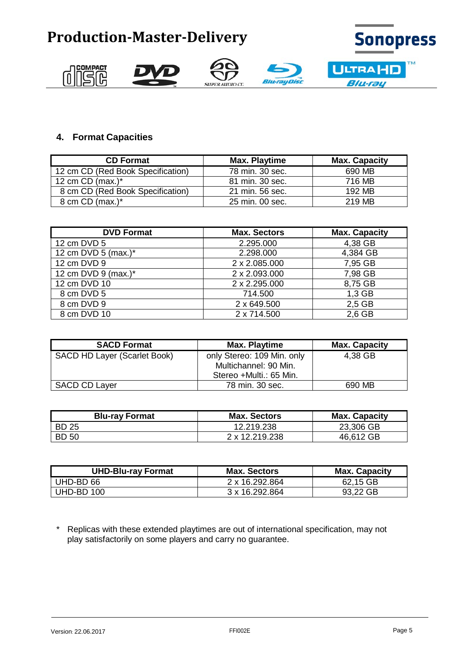

## **4. Format Capacities**

| <b>CD Format</b>                  | <b>Max. Playtime</b> | <b>Max. Capacity</b> |
|-----------------------------------|----------------------|----------------------|
| 12 cm CD (Red Book Specification) | 78 min. 30 sec.      | 690 MB               |
| 12 cm $CD$ (max.)*                | 81 min. 30 sec.      | 716 MB               |
| 8 cm CD (Red Book Specification)  | 21 min. 56 sec.      | 192 MB               |
| 8 cm $CD$ (max.)*                 | 25 min. 00 sec.      | 219 MB               |

| <b>DVD Format</b>   | <b>Max. Sectors</b> | <b>Max. Capacity</b> |
|---------------------|---------------------|----------------------|
| 12 cm DVD 5         | 2.295.000           | 4,38 GB              |
| 12 cm DVD 5 (max.)* | 2.298.000           | 4,384 GB             |
| 12 cm DVD 9         | 2 x 2.085.000       | 7,95 GB              |
| 12 cm DVD 9 (max.)* | 2 x 2.093.000       | 7,98 GB              |
| 12 cm DVD 10        | 2 x 2.295.000       | 8,75 GB              |
| 8 cm DVD 5          | 714.500             | 1,3 GB               |
| 8 cm DVD 9          | 2 x 649.500         | 2,5 GB               |
| 8 cm DVD 10         | 2 x 714.500         | $2,6$ GB             |

| <b>SACD Format</b>           | <b>Max. Playtime</b>       | <b>Max. Capacity</b> |
|------------------------------|----------------------------|----------------------|
| SACD HD Layer (Scarlet Book) | only Stereo: 109 Min. only | 4,38 GB              |
|                              | Multichannel: 90 Min.      |                      |
|                              | Stereo +Multi.: 65 Min.    |                      |
| SACD CD Layer                | 78 min. 30 sec.            | 690 MB               |

| <b>Blu-ray Format</b> | <b>Max. Sectors</b> | <b>Max. Capacity</b> |
|-----------------------|---------------------|----------------------|
| <b>BD 25</b>          | 12.219.238          | 23,306 GB            |
| <b>BD 50</b>          | 2 x 12.219.238      | 46,612 GB            |

| <b>UHD-Blu-ray Format</b> | Max. Sectors          | <b>Max. Capacity</b> |
|---------------------------|-----------------------|----------------------|
| UHD-BD 66                 | 2 x 16.292.864        | 62,15 GB             |
| UHD-BD 100                | $3 \times 16.292.864$ | 93,22 GB             |

\* Replicas with these extended playtimes are out of international specification, may not play satisfactorily on some players and carry no guarantee.